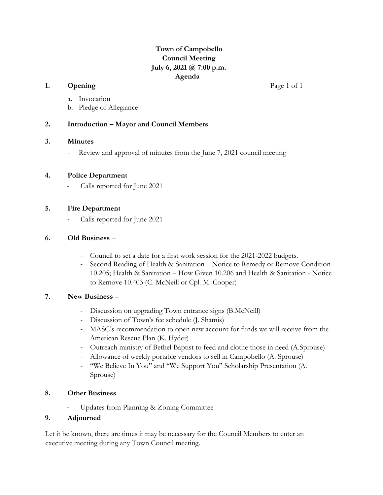# **Town of Campobello Council Meeting July 6, 2021 @ 7:00 p.m. Agenda**

# **1. Opening** Page 1 of 1

- a. Invocation
- b. Pledge of Allegiance

# **2. Introduction – Mayor and Council Members**

#### **3. Minutes**

- Review and approval of minutes from the June 7, 2021 council meeting

#### **4. Police Department**

Calls reported for June 2021

# **5. Fire Department**

Calls reported for June 2021

#### **6. Old Business** –

- Council to set a date for a first work session for the 2021-2022 budgets.
- Second Reading of Health & Sanitation Notice to Remedy or Remove Condition 10.205; Health & Sanitation – How Given 10.206 and Health & Sanitation - Notice to Remove 10.403 (C. McNeill or Cpl. M. Cooper)

#### **7. New Business** –

- Discussion on upgrading Town entrance signs (B.McNeill)
- Discussion of Town's fee schedule (J. Shamis)
- MASC's recommendation to open new account for funds we will receive from the American Rescue Plan (K. Hyder)
- Outreach ministry of Bethel Baptist to feed and clothe those in need (A.Sprouse)
- Allowance of weekly portable vendors to sell in Campobello (A. Sprouse)
- "We Believe In You" and "We Support You" Scholarship Presentation (A. Sprouse)

#### **8. Other Business**

Updates from Planning & Zoning Committee

#### **9. Adjourned**

Let it be known, there are times it may be necessary for the Council Members to enter an executive meeting during any Town Council meeting.